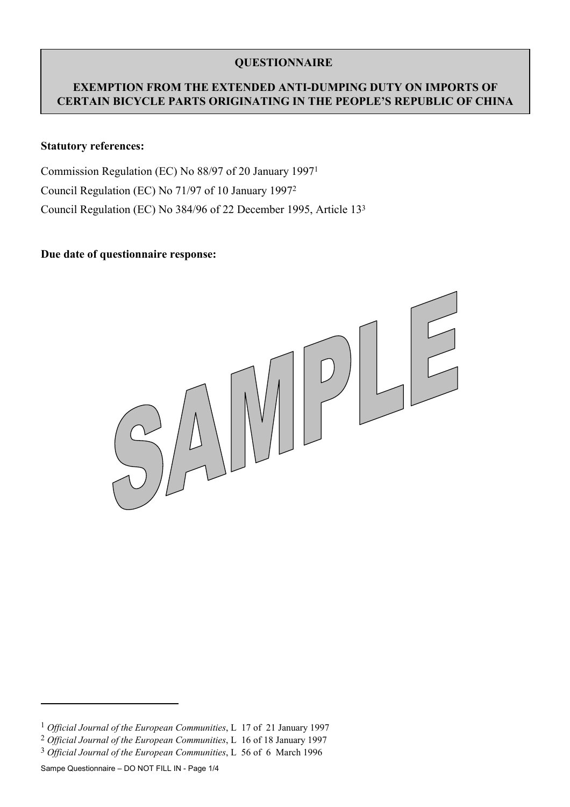## **QUESTIONNAIRE**

### **EXEMPTION FROM THE EXTENDED ANTI-DUMPING DUTY ON IMPORTS OF CERTAIN BICYCLE PARTS ORIGINATING IN THE PEOPLE'S REPUBLIC OF CHINA**

#### **Statutory references:**

Commission Regulation (EC) No 88/97 of 20 January 1997[1](#page-0-0) Council Regulation (EC) No 71/97 of 10 January 199[72](#page-0-1) Council Regulation (EC) No 384/96 of 22 December 1995, Article 13[3](#page-0-2)

#### **Due date of questionnaire response:**



 $\overline{a}$ 

<span id="page-0-0"></span><sup>1</sup> *Official Journal of the European Communities*, L 17 of 21 January 1997

<span id="page-0-1"></span><sup>2</sup> *Official Journal of the European Communities*, L 16 of 18 January 1997

<span id="page-0-2"></span><sup>3</sup> *Official Journal of the European Communities*, L 56 of 6 March 1996

Sampe Questionnaire – DO NOT FILL IN - Page 1/4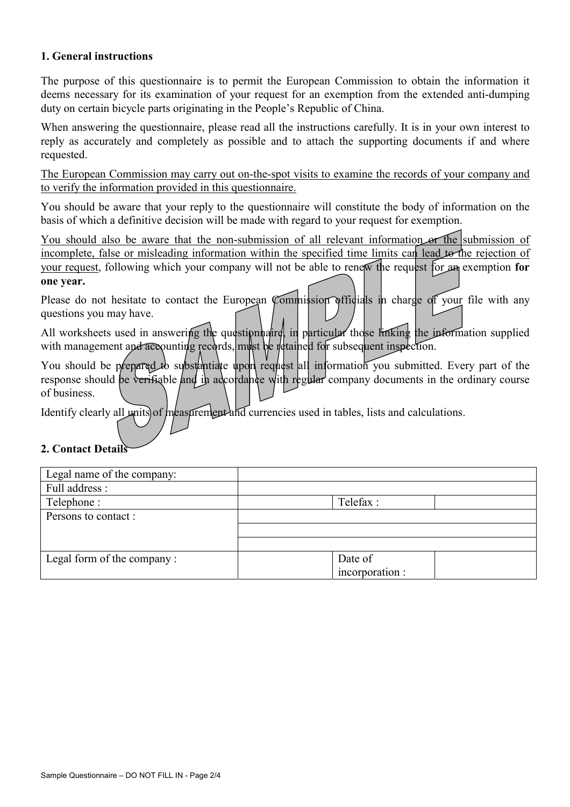### **1. General instructions**

The purpose of this questionnaire is to permit the European Commission to obtain the information it deems necessary for its examination of your request for an exemption from the extended anti-dumping duty on certain bicycle parts originating in the People's Republic of China.

When answering the questionnaire, please read all the instructions carefully. It is in your own interest to reply as accurately and completely as possible and to attach the supporting documents if and where requested.

The European Commission may carry out on-the-spot visits to examine the records of your company and to verify the information provided in this questionnaire.

You should be aware that your reply to the questionnaire will constitute the body of information on the basis of which a definitive decision will be made with regard to your request for exemption.

You should also be aware that the non-submission of all relevant information or the submission of incomplete, false or misleading information within the specified time limits can lead to the rejection of your request, following which your company will not be able to renew the request for an exemption **for one year.**

Please do not hesitate to contact the European Commission officials in charge of your file with any questions you may have.

All worksheets used in answering the question haire, in particular those linking the information supplied with management and accounting records, must be retained for subsequent inspection.

You should be prepared to substantiate upon request all information you submitted. Every part of the response should be verifiable and in adcordance with regular company documents in the ordinary course of business.

Identify clearly all units of measurement and currencies used in tables, lists and calculations.

#### **2. Contact Details**

| Legal name of the company: |                 |  |
|----------------------------|-----------------|--|
| Full address :             |                 |  |
| Telephone :                | Telefax:        |  |
| Persons to contact :       |                 |  |
|                            |                 |  |
|                            |                 |  |
| Legal form of the company: | Date of         |  |
|                            | incorporation : |  |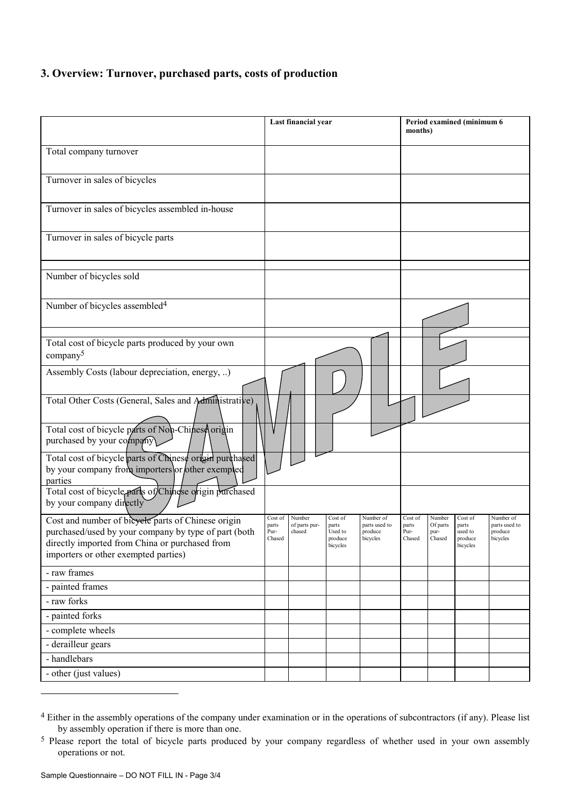# **3. Overview: Turnover, purchased parts, costs of production**

|                                                                                                                                                                                                      | Last financial year                |                                   |                                                    | Period examined (minimum 6<br>months)             |                                    |                                      |                                                    |                                                   |
|------------------------------------------------------------------------------------------------------------------------------------------------------------------------------------------------------|------------------------------------|-----------------------------------|----------------------------------------------------|---------------------------------------------------|------------------------------------|--------------------------------------|----------------------------------------------------|---------------------------------------------------|
| Total company turnover                                                                                                                                                                               |                                    |                                   |                                                    |                                                   |                                    |                                      |                                                    |                                                   |
| Turnover in sales of bicycles                                                                                                                                                                        |                                    |                                   |                                                    |                                                   |                                    |                                      |                                                    |                                                   |
| Turnover in sales of bicycles assembled in-house                                                                                                                                                     |                                    |                                   |                                                    |                                                   |                                    |                                      |                                                    |                                                   |
| Turnover in sales of bicycle parts                                                                                                                                                                   |                                    |                                   |                                                    |                                                   |                                    |                                      |                                                    |                                                   |
| Number of bicycles sold                                                                                                                                                                              |                                    |                                   |                                                    |                                                   |                                    |                                      |                                                    |                                                   |
| Number of bicycles assembled <sup>4</sup>                                                                                                                                                            |                                    |                                   |                                                    |                                                   |                                    |                                      |                                                    |                                                   |
| Total cost of bicycle parts produced by your own<br>company <sup>5</sup>                                                                                                                             |                                    |                                   |                                                    |                                                   |                                    |                                      |                                                    |                                                   |
| Assembly Costs (labour depreciation, energy, )                                                                                                                                                       |                                    |                                   |                                                    |                                                   |                                    |                                      |                                                    |                                                   |
| Total Other Costs (General, Sales and Administrative)                                                                                                                                                |                                    |                                   |                                                    |                                                   |                                    |                                      |                                                    |                                                   |
| Total cost of bicycle parts of Non-Chinese origin<br>purchased by your company                                                                                                                       |                                    |                                   |                                                    |                                                   |                                    |                                      |                                                    |                                                   |
| Total cost of bicycle parts of Chinese origin purchased<br>by your company from importers or other exempted<br>parties                                                                               |                                    |                                   |                                                    |                                                   |                                    |                                      |                                                    |                                                   |
| Total cost of bicycle parts of Chingse origin purchased<br>by your company directly                                                                                                                  |                                    |                                   |                                                    |                                                   |                                    |                                      |                                                    |                                                   |
| Cost and number of bicyele parts of Chinese origin<br>purchased/used by your company by type of part (both<br>directly imported from China or purchased from<br>importers or other exempted parties) | Cost of<br>parts<br>Pur-<br>Chased | Number<br>of parts pur-<br>chased | Cost of<br>parts<br>Used to<br>produce<br>bicycles | Number of<br>parts used to<br>produce<br>bicycles | Cost of<br>parts<br>Pur-<br>Chased | Number<br>Of parts<br>pur-<br>Chased | Cost of<br>parts<br>used to<br>produce<br>bicycles | Number of<br>parts used to<br>produce<br>bicycles |
| - raw frames                                                                                                                                                                                         |                                    |                                   |                                                    |                                                   |                                    |                                      |                                                    |                                                   |
| - painted frames                                                                                                                                                                                     |                                    |                                   |                                                    |                                                   |                                    |                                      |                                                    |                                                   |
| - raw forks                                                                                                                                                                                          |                                    |                                   |                                                    |                                                   |                                    |                                      |                                                    |                                                   |
| - painted forks                                                                                                                                                                                      |                                    |                                   |                                                    |                                                   |                                    |                                      |                                                    |                                                   |
| - complete wheels                                                                                                                                                                                    |                                    |                                   |                                                    |                                                   |                                    |                                      |                                                    |                                                   |
| - derailleur gears                                                                                                                                                                                   |                                    |                                   |                                                    |                                                   |                                    |                                      |                                                    |                                                   |
| - handlebars                                                                                                                                                                                         |                                    |                                   |                                                    |                                                   |                                    |                                      |                                                    |                                                   |
| $-$ other (just values)                                                                                                                                                                              |                                    |                                   |                                                    |                                                   |                                    |                                      |                                                    |                                                   |

 $\overline{a}$ 

<span id="page-2-0"></span><sup>4</sup> Either in the assembly operations of the company under examination or in the operations of subcontractors (if any). Please list by assembly operation if there is more than one.

<span id="page-2-1"></span><sup>&</sup>lt;sup>5</sup> Please report the total of bicycle parts produced by your company regardless of whether used in your own assembly operations or not.